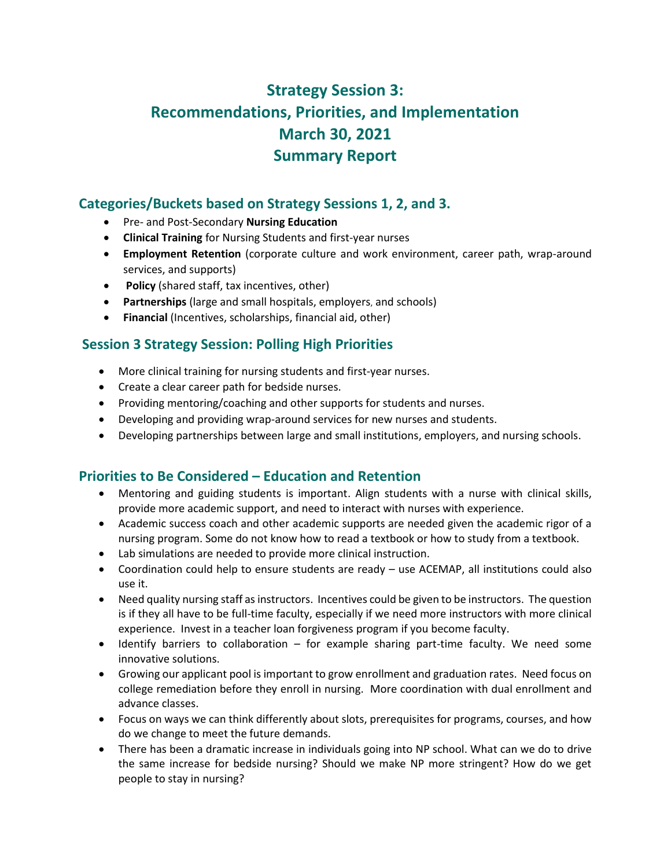# **Strategy Session 3: Recommendations, Priorities, and Implementation March 30, 2021 Summary Report**

# **Categories/Buckets based on Strategy Sessions 1, 2, and 3.**

- Pre- and Post-Secondary **Nursing Education**
- **Clinical Training** for Nursing Students and first-year nurses
- **Employment Retention** (corporate culture and work environment, career path, wrap-around services, and supports)
- **Policy** (shared staff, tax incentives, other)
- **Partnerships** (large and small hospitals, employers, and schools)
- **Financial** (Incentives, scholarships, financial aid, other)

## **Session 3 Strategy Session: Polling High Priorities**

- More clinical training for nursing students and first-year nurses.
- Create a clear career path for bedside nurses.
- Providing mentoring/coaching and other supports for students and nurses.
- Developing and providing wrap-around services for new nurses and students.
- Developing partnerships between large and small institutions, employers, and nursing schools.

### **Priorities to Be Considered – Education and Retention**

- Mentoring and guiding students is important. Align students with a nurse with clinical skills, provide more academic support, and need to interact with nurses with experience.
- Academic success coach and other academic supports are needed given the academic rigor of a nursing program. Some do not know how to read a textbook or how to study from a textbook.
- Lab simulations are needed to provide more clinical instruction.
- Coordination could help to ensure students are ready use ACEMAP, all institutions could also use it.
- Need quality nursing staff as instructors. Incentives could be given to be instructors. The question is if they all have to be full-time faculty, especially if we need more instructors with more clinical experience. Invest in a teacher loan forgiveness program if you become faculty.
- Identify barriers to collaboration for example sharing part-time faculty. We need some innovative solutions.
- Growing our applicant pool is important to grow enrollment and graduation rates. Need focus on college remediation before they enroll in nursing. More coordination with dual enrollment and advance classes.
- Focus on ways we can think differently about slots, prerequisites for programs, courses, and how do we change to meet the future demands.
- There has been a dramatic increase in individuals going into NP school. What can we do to drive the same increase for bedside nursing? Should we make NP more stringent? How do we get people to stay in nursing?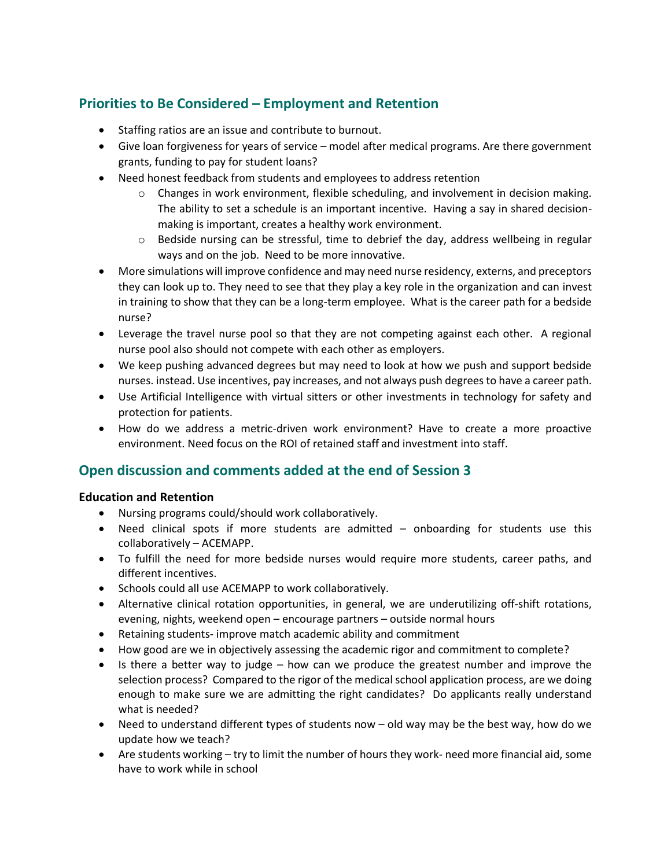# **Priorities to Be Considered – Employment and Retention**

- Staffing ratios are an issue and contribute to burnout.
- Give loan forgiveness for years of service model after medical programs. Are there government grants, funding to pay for student loans?
- Need honest feedback from students and employees to address retention
	- o Changes in work environment, flexible scheduling, and involvement in decision making. The ability to set a schedule is an important incentive. Having a say in shared decisionmaking is important, creates a healthy work environment.
	- $\circ$  Bedside nursing can be stressful, time to debrief the day, address wellbeing in regular ways and on the job. Need to be more innovative.
- More simulations will improve confidence and may need nurse residency, externs, and preceptors they can look up to. They need to see that they play a key role in the organization and can invest in training to show that they can be a long-term employee. What is the career path for a bedside nurse?
- Leverage the travel nurse pool so that they are not competing against each other. A regional nurse pool also should not compete with each other as employers.
- We keep pushing advanced degrees but may need to look at how we push and support bedside nurses. instead. Use incentives, pay increases, and not always push degrees to have a career path.
- Use Artificial Intelligence with virtual sitters or other investments in technology for safety and protection for patients.
- How do we address a metric-driven work environment? Have to create a more proactive environment. Need focus on the ROI of retained staff and investment into staff.

### **Open discussion and comments added at the end of Session 3**

#### **Education and Retention**

- Nursing programs could/should work collaboratively.
- Need clinical spots if more students are admitted onboarding for students use this collaboratively – ACEMAPP.
- To fulfill the need for more bedside nurses would require more students, career paths, and different incentives.
- Schools could all use ACEMAPP to work collaboratively.
- Alternative clinical rotation opportunities, in general, we are underutilizing off-shift rotations, evening, nights, weekend open – encourage partners – outside normal hours
- Retaining students- improve match academic ability and commitment
- How good are we in objectively assessing the academic rigor and commitment to complete?
- Is there a better way to judge how can we produce the greatest number and improve the selection process? Compared to the rigor of the medical school application process, are we doing enough to make sure we are admitting the right candidates? Do applicants really understand what is needed?
- Need to understand different types of students now old way may be the best way, how do we update how we teach?
- Are students working try to limit the number of hours they work- need more financial aid, some have to work while in school